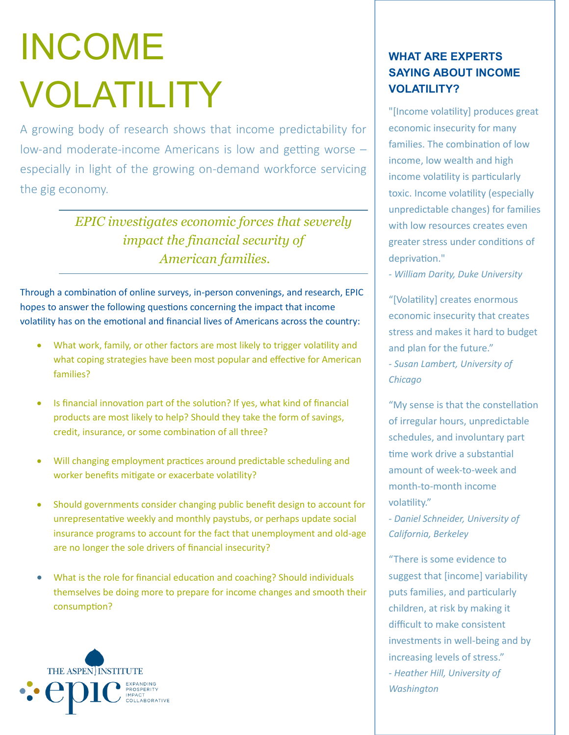# INCOME VOLATILITY

A growing body of research shows that income predictability for low-and moderate-income Americans is low and getting worse – especially in light of the growing on-demand workforce servicing the gig economy.

> *EPIC investigates economic forces that severely impact the financial security of American families.*

Through a combination of online surveys, in-person convenings, and research, EPIC hopes to answer the following questions concerning the impact that income volatility has on the emotional and financial lives of Americans across the country:

- What work, family, or other factors are most likely to trigger volatility and what coping strategies have been most popular and effective for American families?
- Is financial innovation part of the solution? If yes, what kind of financial products are most likely to help? Should they take the form of savings, credit, insurance, or some combination of all three?
- Will changing employment practices around predictable scheduling and worker benefits mitigate or exacerbate volatility?
- Should governments consider changing public benefit design to account for unrepresentative weekly and monthly paystubs, or perhaps update social insurance programs to account for the fact that unemployment and old-age are no longer the sole drivers of financial insecurity?
- What is the role for financial education and coaching? Should individuals themselves be doing more to prepare for income changes and smooth their consumption?



### **WHAT ARE EXPERTS SAYING ABOUT INCOME VOLATILITY?**

"[Income volatility] produces great economic insecurity for many families. The combination of low income, low wealth and high income volatility is particularly toxic. Income volatility (especially unpredictable changes) for families with low resources creates even greater stress under conditions of deprivation."

*- William Darity, Duke University*

"[Volatility] creates enormous economic insecurity that creates stress and makes it hard to budget and plan for the future." *- Susan Lambert, University of Chicago*

"My sense is that the constellation of irregular hours, unpredictable schedules, and involuntary part time work drive a substantial amount of week-to-week and month-to-month income volatility."

*- Daniel Schneider, University of California, Berkeley*

"There is some evidence to suggest that [income] variability puts families, and particularly children, at risk by making it difficult to make consistent investments in well-being and by increasing levels of stress." *- Heather Hill, University of Washington*